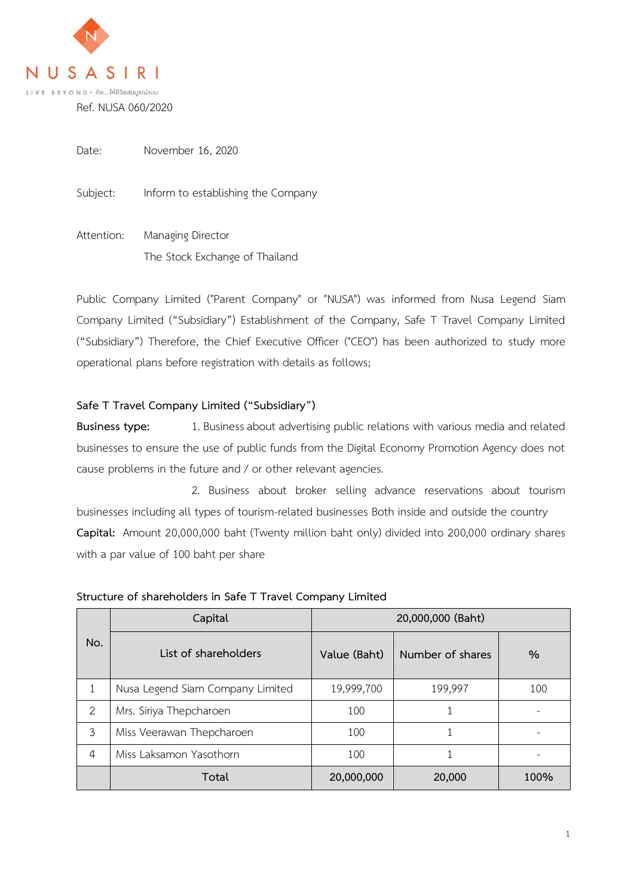

Date: November 16, 2020

Subject: Inform to establishing the Company

Attention: Managing Director The Stock Exchange of Thailand

Public Company Limited ("Parent Company" or "NUSA") was informed from Nusa Legend Siam Company Limited ("Subsidiary") Establishment of the Company, Safe T Travel Company Limited ("Subsidiary") Therefore, the Chief Executive Officer ("CEO") has been authorized to study more operational plans before registration with details as follows;

## **Safe T Travel Company Limited ("Subsidiary")**

**Business type:** 1. Business about advertising public relations with various media and related businesses to ensure the use of public funds from the Digital Economy Promotion Agency does not cause problems in the future and / or other relevant agencies.

2. Business about broker selling advance reservations about tourism businesses including all types of tourism-related businesses Both inside and outside the country **Capital:** Amount 20,000,000 baht (Twenty million baht only) divided into 200,000 ordinary shares with a par value of 100 baht per share

| No.           | Capital                          | 20,000,000 (Baht) |                  |      |
|---------------|----------------------------------|-------------------|------------------|------|
|               | List of shareholders             | Value (Baht)      | Number of shares | $\%$ |
|               | Nusa Legend Siam Company Limited | 19,999,700        | 199,997          | 100  |
| $\mathcal{P}$ | Mrs. Siriya Thepcharoen          | 100               |                  |      |
| 3             | Miss Veerawan Thepcharoen        | 100               |                  |      |
| 4             | Miss Laksamon Yasothorn          | 100               |                  |      |
|               | Total                            | 20,000,000        | 20,000           | 100% |

## **Structure of shareholders in Safe T Travel Company Limited**